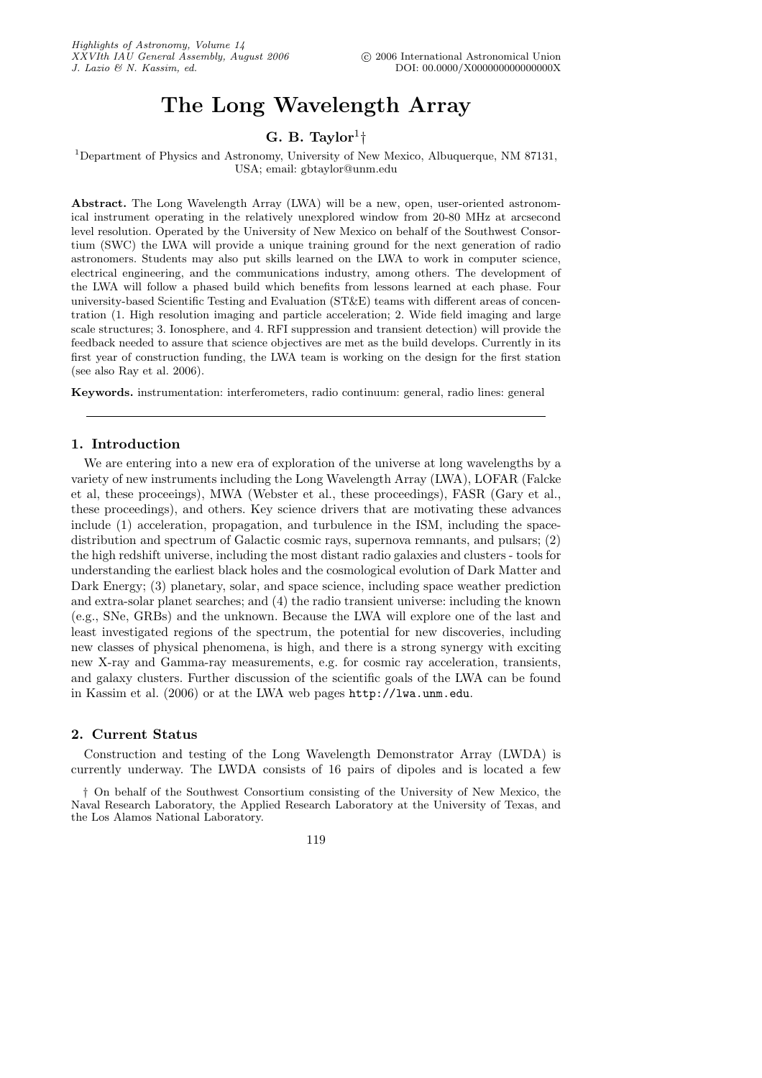# The Long Wavelength Array

## G. B. Taylor<sup>1</sup> $\dagger$

#### <sup>1</sup>Department of Physics and Astronomy, University of New Mexico, Albuquerque, NM 87131, USA; email: gbtaylor@unm.edu

Abstract. The Long Wavelength Array (LWA) will be a new, open, user-oriented astronomical instrument operating in the relatively unexplored window from 20-80 MHz at arcsecond level resolution. Operated by the University of New Mexico on behalf of the Southwest Consortium (SWC) the LWA will provide a unique training ground for the next generation of radio astronomers. Students may also put skills learned on the LWA to work in computer science, electrical engineering, and the communications industry, among others. The development of the LWA will follow a phased build which benefits from lessons learned at each phase. Four university-based Scientific Testing and Evaluation (ST&E) teams with different areas of concentration (1. High resolution imaging and particle acceleration; 2. Wide field imaging and large scale structures; 3. Ionosphere, and 4. RFI suppression and transient detection) will provide the feedback needed to assure that science objectives are met as the build develops. Currently in its first year of construction funding, the LWA team is working on the design for the first station (see also Ray et al. 2006).

Keywords. instrumentation: interferometers, radio continuum: general, radio lines: general

### 1. Introduction

We are entering into a new era of exploration of the universe at long wavelengths by a variety of new instruments including the Long Wavelength Array (LWA), LOFAR (Falcke et al, these proceeings), MWA (Webster et al., these proceedings), FASR (Gary et al., these proceedings), and others. Key science drivers that are motivating these advances include (1) acceleration, propagation, and turbulence in the ISM, including the spacedistribution and spectrum of Galactic cosmic rays, supernova remnants, and pulsars; (2) the high redshift universe, including the most distant radio galaxies and clusters - tools for understanding the earliest black holes and the cosmological evolution of Dark Matter and Dark Energy; (3) planetary, solar, and space science, including space weather prediction and extra-solar planet searches; and (4) the radio transient universe: including the known (e.g., SNe, GRBs) and the unknown. Because the LWA will explore one of the last and least investigated regions of the spectrum, the potential for new discoveries, including new classes of physical phenomena, is high, and there is a strong synergy with exciting new X-ray and Gamma-ray measurements, e.g. for cosmic ray acceleration, transients, and galaxy clusters. Further discussion of the scientific goals of the LWA can be found in Kassim et al. (2006) or at the LWA web pages http://lwa.unm.edu.

## 2. Current Status

Construction and testing of the Long Wavelength Demonstrator Array (LWDA) is currently underway. The LWDA consists of 16 pairs of dipoles and is located a few

† On behalf of the Southwest Consortium consisting of the University of New Mexico, the Naval Research Laboratory, the Applied Research Laboratory at the University of Texas, and the Los Alamos National Laboratory.

119